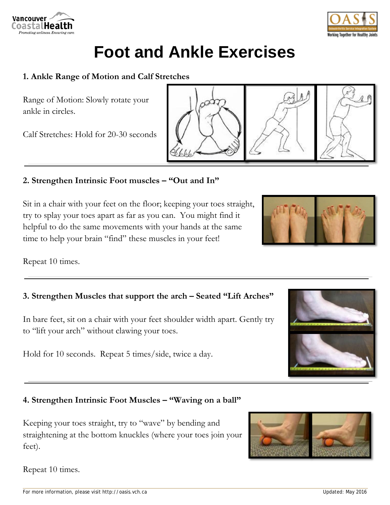# **Foot and Ankle Exercises**

#### **1. Ankle Range of Motion and Calf Stretches**

Range of Motion: Slowly rotate your ankle in circles.

Calf Stretches: Hold for 20-30 seconds

#### **2. Strengthen Intrinsic Foot muscles – "Out and In"**

Sit in a chair with your feet on the floor; keeping your toes straight, try to splay your toes apart as far as you can. You might find it helpful to do the same movements with your hands at the same time to help your brain "find" these muscles in your feet!

Repeat 10 times.

### **3. Strengthen Muscles that support the arch – Seated "Lift Arches"**

In bare feet, sit on a chair with your feet shoulder width apart. Gently try to "lift your arch" without clawing your toes.

Hold for 10 seconds. Repeat 5 times/side, twice a day.

## **4. Strengthen Intrinsic Foot Muscles – "Waving on a ball"**

Keeping your toes straight, try to "wave" by bending and straightening at the bottom knuckles (where your toes join your feet).

Repeat 10 times.